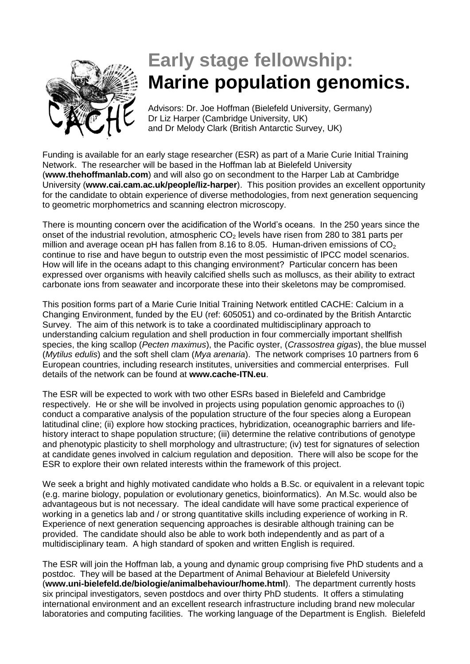

## **Early stage fellowship: Marine population genomics.**

Advisors: Dr. Joe Hoffman (Bielefeld University, Germany) Dr Liz Harper (Cambridge University, UK) and Dr Melody Clark (British Antarctic Survey, UK)

Funding is available for an early stage researcher (ESR) as part of a Marie Curie Initial Training Network. The researcher will be based in the Hoffman lab at Bielefeld University (**www.thehoffmanlab.com**) and will also go on secondment to the Harper Lab at Cambridge University (**www.cai.cam.ac.uk/people/liz-harper**). This position provides an excellent opportunity for the candidate to obtain experience of diverse methodologies, from next generation sequencing to geometric morphometrics and scanning electron microscopy.

There is mounting concern over the acidification of the World's oceans. In the 250 years since the onset of the industrial revolution, atmospheric  $CO<sub>2</sub>$  levels have risen from 280 to 381 parts per million and average ocean pH has fallen from 8.16 to 8.05. Human-driven emissions of  $CO<sub>2</sub>$ continue to rise and have begun to outstrip even the most pessimistic of IPCC model scenarios. How will life in the oceans adapt to this changing environment? Particular concern has been expressed over organisms with heavily calcified shells such as molluscs, as their ability to extract carbonate ions from seawater and incorporate these into their skeletons may be compromised.

This position forms part of a Marie Curie Initial Training Network entitled CACHE: Calcium in a Changing Environment, funded by the EU (ref: 605051) and co-ordinated by the British Antarctic Survey. The aim of this network is to take a coordinated multidisciplinary approach to understanding calcium regulation and shell production in four commercially important shellfish species, the king scallop (*Pecten maximus*), the Pacific oyster, (*Crassostrea gigas*), the blue mussel (*Mytilus edulis*) and the soft shell clam (*Mya arenaria*). The network comprises 10 partners from 6 European countries, including research institutes, universities and commercial enterprises. Full details of the network can be found at **www.cache-ITN.eu**.

The ESR will be expected to work with two other ESRs based in Bielefeld and Cambridge respectively. He or she will be involved in projects using population genomic approaches to (i) conduct a comparative analysis of the population structure of the four species along a European latitudinal cline; (ii) explore how stocking practices, hybridization, oceanographic barriers and lifehistory interact to shape population structure; (iii) determine the relative contributions of genotype and phenotypic plasticity to shell morphology and ultrastructure; (iv) test for signatures of selection at candidate genes involved in calcium regulation and deposition. There will also be scope for the ESR to explore their own related interests within the framework of this project.

We seek a bright and highly motivated candidate who holds a B.Sc. or equivalent in a relevant topic (e.g. marine biology, population or evolutionary genetics, bioinformatics). An M.Sc. would also be advantageous but is not necessary. The ideal candidate will have some practical experience of working in a genetics lab and / or strong quantitative skills including experience of working in R. Experience of next generation sequencing approaches is desirable although training can be provided. The candidate should also be able to work both independently and as part of a multidisciplinary team. A high standard of spoken and written English is required.

The ESR will join the Hoffman lab, a young and dynamic group comprising five PhD students and a postdoc. They will be based at the Department of Animal Behaviour at Bielefeld University (**www.uni-bielefeld.de/biologie/animalbehaviour/home.html**). The department currently hosts six principal investigators, seven postdocs and over thirty PhD students. It offers a stimulating international environment and an excellent research infrastructure including brand new molecular laboratories and computing facilities. The working language of the Department is English. Bielefeld